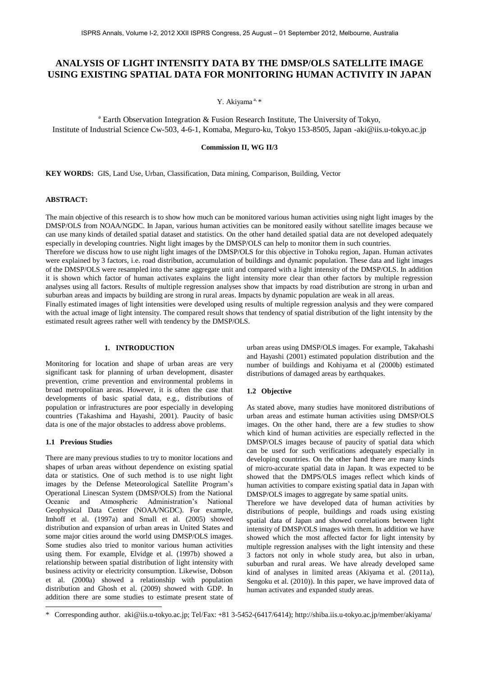# **ANALYSIS OF LIGHT INTENSITY DATA BY THE DMSP/OLS SATELLITE IMAGE USING EXISTING SPATIAL DATA FOR MONITORING HUMAN ACTIVITY IN JAPAN**

Y. Akiyama<sup>a, \*</sup>

<sup>a</sup> Earth Observation Integration & Fusion Research Institute, The University of Tokyo, Institute of Industrial Science Cw-503, 4-6-1, Komaba, Meguro-ku, Tokyo 153-8505, Japan -aki@iis.u-tokyo.ac.jp

**Commission II, WG II/3**

**KEY WORDS:** GIS, Land Use, Urban, Classification, Data mining, Comparison, Building, Vector

## **ABSTRACT:**

The main objective of this research is to show how much can be monitored various human activities using night light images by the DMSP/OLS from NOAA/NGDC. In Japan, various human activities can be monitored easily without satellite images because we can use many kinds of detailed spatial dataset and statistics. On the other hand detailed spatial data are not developed adequately especially in developing countries. Night light images by the DMSP/OLS can help to monitor them in such countries.

Therefore we discuss how to use night light images of the DMSP/OLS for this objective in Tohoku region, Japan. Human activates were explained by 3 factors, i.e. road distribution, accumulation of buildings and dynamic population. These data and light images of the DMSP/OLS were resampled into the same aggregate unit and compared with a light intensity of the DMSP/OLS. In addition it is shown which factor of human activates explains the light intensity more clear than other factors by multiple regression analyses using all factors. Results of multiple regression analyses show that impacts by road distribution are strong in urban and suburban areas and impacts by building are strong in rural areas. Impacts by dynamic population are weak in all areas.

Finally estimated images of light intensities were developed using results of multiple regression analysis and they were compared with the actual image of light intensity. The compared result shows that tendency of spatial distribution of the light intensity by the estimated result agrees rather well with tendency by the DMSP/OLS.

# **1. INTRODUCTION**

Monitoring for location and shape of urban areas are very significant task for planning of urban development, disaster prevention, crime prevention and environmental problems in broad metropolitan areas. However, it is often the case that developments of basic spatial data, e.g., distributions of population or infrastructures are poor especially in developing countries (Takashima and Hayashi, 2001). Paucity of basic data is one of the major obstacles to address above problems.

#### **1.1 Previous Studies**

-

There are many previous studies to try to monitor locations and shapes of urban areas without dependence on existing spatial data or statistics. One of such method is to use night light images by the Defense Meteorological Satellite Program's Operational Linescan System (DMSP/OLS) from the National Oceanic and Atmospheric Administration's National Geophysical Data Center (NOAA/NGDC). For example, Imhoff et al. (1997a) and Small et al. (2005) showed distribution and expansion of urban areas in United States and some major cities around the world using DMSP/OLS images. Some studies also tried to monitor various human activities using them. For example, Elvidge et al. (1997b) showed a relationship between spatial distribution of light intensity with business activity or electricity consumption. Likewise, Dobson et al. (2000a) showed a relationship with population distribution and Ghosh et al. (2009) showed with GDP. In addition there are some studies to estimate present state of urban areas using DMSP/OLS images. For example, Takahashi and Hayashi (2001) estimated population distribution and the number of buildings and Kohiyama et al (2000b) estimated distributions of damaged areas by earthquakes.

## **1.2 Objective**

As stated above, many studies have monitored distributions of urban areas and estimate human activities using DMSP/OLS images. On the other hand, there are a few studies to show which kind of human activities are especially reflected in the DMSP/OLS images because of paucity of spatial data which can be used for such verifications adequately especially in developing countries. On the other hand there are many kinds of micro-accurate spatial data in Japan. It was expected to be showed that the DMPS/OLS images reflect which kinds of human activities to compare existing spatial data in Japan with DMSP/OLS images to aggregate by same spatial units.

Therefore we have developed data of human activities by distributions of people, buildings and roads using existing spatial data of Japan and showed correlations between light intensity of DMSP/OLS images with them. In addition we have showed which the most affected factor for light intensity by multiple regression analyses with the light intensity and these 3 factors not only in whole study area, but also in urban, suburban and rural areas. We have already developed same kind of analyses in limited areas (Akiyama et al. (2011a), Sengoku et al. (2010)). In this paper, we have improved data of human activates and expanded study areas.

<sup>\*</sup> Corresponding author. aki@iis.u-tokyo.ac.jp; Tel/Fax: +81 3-5452-(6417/6414); http://shiba.iis.u-tokyo.ac.jp/member/akiyama/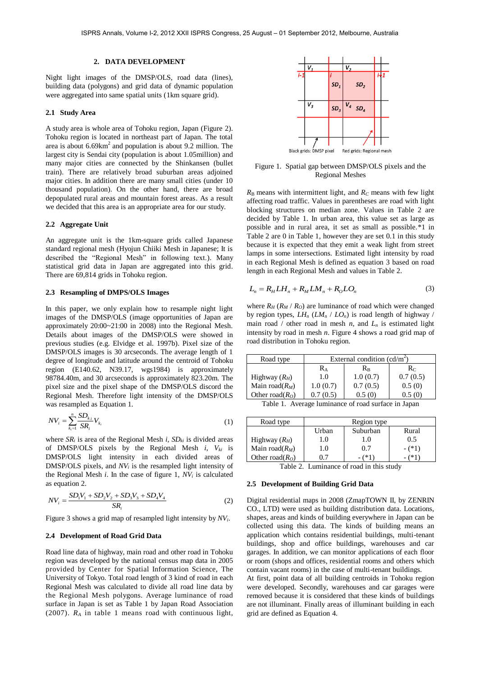#### **2. DATA DEVELOPMENT**

Night light images of the DMSP/OLS, road data (lines), building data (polygons) and grid data of dynamic population were aggregated into same spatial units (1km square grid).

#### **2.1 Study Area**

A study area is whole area of Tohoku region, Japan (Figure 2). Tohoku region is located in northeast part of Japan. The total area is about  $6.69 \text{km}^2$  and population is about 9.2 million. The largest city is Sendai city (population is about 1.05million) and many major cities are connected by the Shinkansen (bullet train). There are relatively broad suburban areas adjoined major cities. In addition there are many small cities (under 10 thousand population). On the other hand, there are broad depopulated rural areas and mountain forest areas. As a result we decided that this area is an appropriate area for our study.

#### **2.2 Aggregate Unit**

An aggregate unit is the 1km-square grids called Japanese standard regional mesh (Hyojun Chiiki Mesh in Japanese; It is described the "Regional Mesh" in following text.). Many statistical grid data in Japan are aggregated into this grid. There are 69,814 grids in Tohoku region.

#### **2.3 Resampling of DMPS/OLS Images**

In this paper, we only explain how to resample night light images of the DMSP/OLS (image opportunities of Japan are approximately 20:00~21:00 in 2008) into the Regional Mesh. Details about images of the DMSP/OLS were showed in previous studies (e.g. Elvidge et al. 1997b). Pixel size of the DMSP/OLS images is 30 arcseconds. The average length of 1 degree of longitude and latitude around the centroid of Tohoku region (E140.62, N39.17, wgs1984) is approximately 98784.40m, and 30 arcseconds is approximately 823.20m. The pixel size and the pixel shape of the DMSP/OLS discord the Regional Mesh. Therefore light intensity of the DMSP/OLS was resampled as Equation 1.

$$
NV_i = \sum_{k_i=1}^{n} \frac{SD_{ki}}{SR_i} V_{k_i}
$$
 (1)

where  $SR_i$  is area of the Regional Mesh *i*,  $SD_{ki}$  is divided areas of DMSP/OLS pixels by the Regional Mesh *i*, *Vki* is DMSP/OLS light intensity in each divided areas of DMSP/OLS pixels, and *NV<sup>i</sup>* is the resampled light intensity of the Regional Mesh *i*. In the case of figure 1, *NV<sup>i</sup>* is calculated as equation 2.

$$
NV_i = \frac{SD_1V_1 + SD_2V_2 + SD_3V_3 + SD_4V_4}{SR_i}
$$
 (2)

Figure 3 shows a grid map of resampled light intensity by *NVi*.

#### **2.4 Development of Road Grid Data**

Road line data of highway, main road and other road in Tohoku region was developed by the national census map data in 2005 provided by Center for Spatial Information Science, The University of Tokyo. Total road length of 3 kind of road in each Regional Mesh was calculated to divide all road line data by the Regional Mesh polygons. Average luminance of road surface in Japan is set as Table 1 by Japan Road Association (2007). *R<sup>A</sup>* in table 1 means road with continuous light,



Figure 1. Spatial gap between DMSP/OLS pixels and the Regional Meshes

 $R<sub>B</sub>$  means with intermittent light, and  $R<sub>C</sub>$  means with few light affecting road traffic. Values in parentheses are road with light blocking structures on median zone. Values in Table 2 are decided by Table 1. In urban area, this value set as large as possible and in rural area, it set as small as possible.\*1 in Table 2 are 0 in Table 1, however they are set 0.1 in this study because it is expected that they emit a weak light from street lamps in some intersections. Estimated light intensity by road in each Regional Mesh is defined as equation 3 based on road length in each Regional Mesh and values in Table 2.

$$
L_n = R_H L H_n + R_M L M_n + R_0 L O_n \tag{3}
$$

where  $R_H$  ( $R_M$  /  $R_O$ ) are luminance of road which were changed by region types,  $LH_n$  ( $LM_n$  /  $LO_n$ ) is road length of highway / main road / other road in mesh *n*, and  $L_n$  is estimated light intensity by road in mesh *n*. Figure 4 shows a road grid map of road distribution in Tohoku region.

| Road type           | External condition $(cd/m^2)$ |             |            |  |
|---------------------|-------------------------------|-------------|------------|--|
|                     | Ra                            | $R_{\rm B}$ | $R_C$      |  |
| Highway $(R_H)$     | 1.0                           | 1.0(0.7)    | 0.7(0.5)   |  |
| Main road $(R_M)$   | 1.0(0.7)                      | 0.7(0.5)    | 0.5(0)     |  |
| Other road( $R_O$ ) | 0.7(0.5)                      | 0.5(0)      | (0)<br>0.5 |  |

Table 1. Average luminance of road surface in Japan

| Road type           | Region type |          |         |
|---------------------|-------------|----------|---------|
|                     | Urban       | Suburban | Rural   |
| Highway $(R_H)$     | 1.0         | 1.O      | 0.5     |
| Main road $(R_M)$   | 1.0         | 0.7      | $-(*1)$ |
| Other road( $R_O$ ) |             |          |         |

Table 2. Luminance of road in this study

#### **2.5 Development of Building Grid Data**

Digital residential maps in 2008 (ZmapTOWN II, by ZENRIN CO., LTD) were used as building distribution data. Locations, shapes, areas and kinds of building everywhere in Japan can be collected using this data. The kinds of building means an application which contains residential buildings, multi-tenant buildings, shop and office buildings, warehouses and car garages. In addition, we can monitor applications of each floor or room (shops and offices, residential rooms and others which contain vacant rooms) in the case of multi-tenant buildings.

At first, point data of all building centroids in Tohoku region were developed. Secondly, warehouses and car garages were removed because it is considered that these kinds of buildings are not illuminant. Finally areas of illuminant building in each grid are defined as Equation 4.